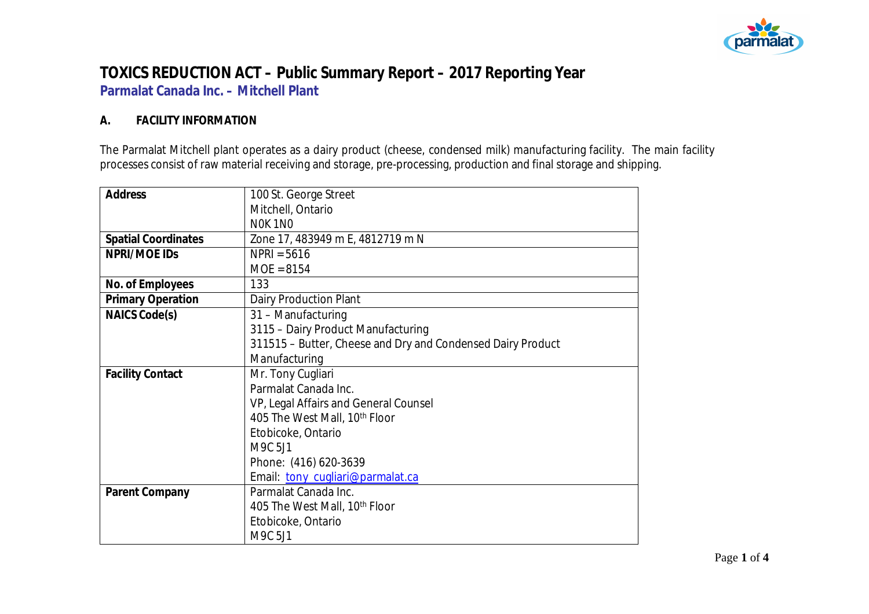

### **TOXICS REDUCTION ACT – Public Summary Report – 2017 Reporting Year Parmalat Canada Inc. – Mitchell Plant**

#### **A. FACILITY INFORMATION**

The Parmalat Mitchell plant operates as a dairy product (cheese, condensed milk) manufacturing facility. The main facility processes consist of raw material receiving and storage, pre-processing, production and final storage and shipping.

| Address                    | 100 St. George Street                                       |  |  |  |
|----------------------------|-------------------------------------------------------------|--|--|--|
|                            | Mitchell, Ontario                                           |  |  |  |
|                            | NOK 1NO                                                     |  |  |  |
| <b>Spatial Coordinates</b> | Zone 17, 483949 m E, 4812719 m N                            |  |  |  |
| NPRI/MOE IDS               | $NPRI = 5616$                                               |  |  |  |
|                            | $MOE = 8154$                                                |  |  |  |
| No. of Employees           | 133                                                         |  |  |  |
| <b>Primary Operation</b>   | Dairy Production Plant                                      |  |  |  |
| NAICS Code(s)              | 31 - Manufacturing                                          |  |  |  |
|                            | 3115 - Dairy Product Manufacturing                          |  |  |  |
|                            | 311515 - Butter, Cheese and Dry and Condensed Dairy Product |  |  |  |
|                            | Manufacturing                                               |  |  |  |
| <b>Facility Contact</b>    | Mr. Tony Cugliari                                           |  |  |  |
|                            | Parmalat Canada Inc.                                        |  |  |  |
|                            | VP, Legal Affairs and General Counsel                       |  |  |  |
|                            | 405 The West Mall, 10 <sup>th</sup> Floor                   |  |  |  |
|                            | Etobicoke, Ontario                                          |  |  |  |
|                            | M9C 5J1                                                     |  |  |  |
|                            | Phone: (416) 620-3639                                       |  |  |  |
|                            | Email: tony_cugliari@parmalat.ca                            |  |  |  |
| Parent Company             | Parmalat Canada Inc.                                        |  |  |  |
|                            | 405 The West Mall, 10 <sup>th</sup> Floor                   |  |  |  |
|                            | Etobicoke, Ontario                                          |  |  |  |
|                            | M9C 5J1                                                     |  |  |  |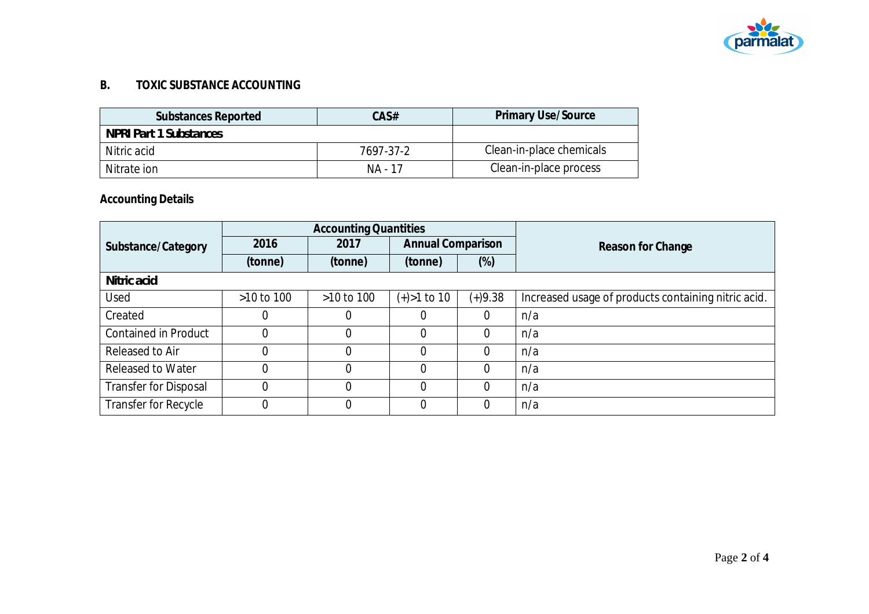

#### **B. TOXIC SUBSTANCE ACCOUNTING**

| Substances Reported    | CAS#      | <b>Primary Use/Source</b> |
|------------------------|-----------|---------------------------|
| NPRI Part 1 Substances |           |                           |
| Nitric acid            | 7697-37-2 | Clean-in-place chemicals  |
| Nitrate ion            | NA - 17   | Clean-in-place process    |

# **Accounting Details**

|                              | <b>Accounting Quantities</b> |                |                          |           |                                                     |
|------------------------------|------------------------------|----------------|--------------------------|-----------|-----------------------------------------------------|
| Substance/Category           | 2016                         | 2017           | <b>Annual Comparison</b> |           | Reason for Change                                   |
|                              | (tonne)                      | (tonne)        | (tonne)                  | $(\%)$    |                                                     |
| Nitric acid                  |                              |                |                          |           |                                                     |
| Used                         | $>10$ to 100                 | $>10$ to $100$ | $(+) > 1$ to 10          | $(+)9.38$ | Increased usage of products containing nitric acid. |
| Created                      | $\left($                     | 0              |                          | $\Omega$  | n/a                                                 |
| <b>Contained in Product</b>  | $\Omega$                     | 0              |                          | $\Omega$  | n/a                                                 |
| Released to Air              | $\theta$                     | 0              | $\Omega$                 | $\Omega$  | n/a                                                 |
| <b>Released to Water</b>     | $\overline{0}$               | $\overline{0}$ | $\Omega$                 | $\Omega$  | n/a                                                 |
| <b>Transfer for Disposal</b> | $\theta$                     | 0              | $\Omega$                 | $\Omega$  | n/a                                                 |
| Transfer for Recycle         | 0                            | 0              | $\Omega$                 | $\Omega$  | n/a                                                 |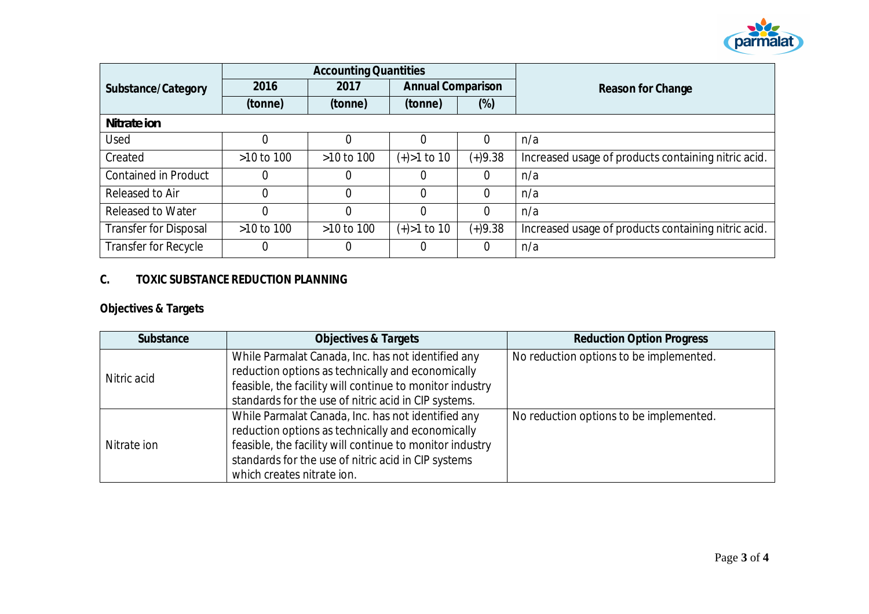

|                              | <b>Accounting Quantities</b> |                |                          |           |                                                     |
|------------------------------|------------------------------|----------------|--------------------------|-----------|-----------------------------------------------------|
| Substance/Category           | 2016                         | 2017           | <b>Annual Comparison</b> |           | Reason for Change                                   |
|                              | (tonne)                      | (tonne)        | (tonne)                  | $(\%)$    |                                                     |
| Nitrate ion                  |                              |                |                          |           |                                                     |
| Used                         |                              | 0              |                          | $\Omega$  | n/a                                                 |
| Created                      | >10 to 100                   | >10 to 100     | $(+) > 1$ to 10          | $(+)9.38$ | Increased usage of products containing nitric acid. |
| <b>Contained in Product</b>  | 0                            | 0              |                          | $\Omega$  | n/a                                                 |
| Released to Air              |                              | 0              | $\Omega$                 | $\Omega$  | n/a                                                 |
| <b>Released to Water</b>     | $\overline{0}$               | 0              | $\Omega$                 | $\Omega$  | n/a                                                 |
| <b>Transfer for Disposal</b> | >10 to 100                   | $>10$ to $100$ | $(+) > 1$ to 10          | $(+)9.38$ | Increased usage of products containing nitric acid. |
| Transfer for Recycle         | 0                            | 0              |                          | 0         | n/a                                                 |

#### **C. TOXIC SUBSTANCE REDUCTION PLANNING**

# **Objectives & Targets**

| Substance   | Objectives & Targets                                                                                                                                                                                                                                     | <b>Reduction Option Progress</b>        |
|-------------|----------------------------------------------------------------------------------------------------------------------------------------------------------------------------------------------------------------------------------------------------------|-----------------------------------------|
| Nitric acid | While Parmalat Canada, Inc. has not identified any<br>reduction options as technically and economically<br>feasible, the facility will continue to monitor industry<br>standards for the use of nitric acid in CIP systems.                              | No reduction options to be implemented. |
| Nitrate ion | While Parmalat Canada, Inc. has not identified any<br>reduction options as technically and economically<br>feasible, the facility will continue to monitor industry<br>standards for the use of nitric acid in CIP systems<br>which creates nitrate ion. | No reduction options to be implemented. |